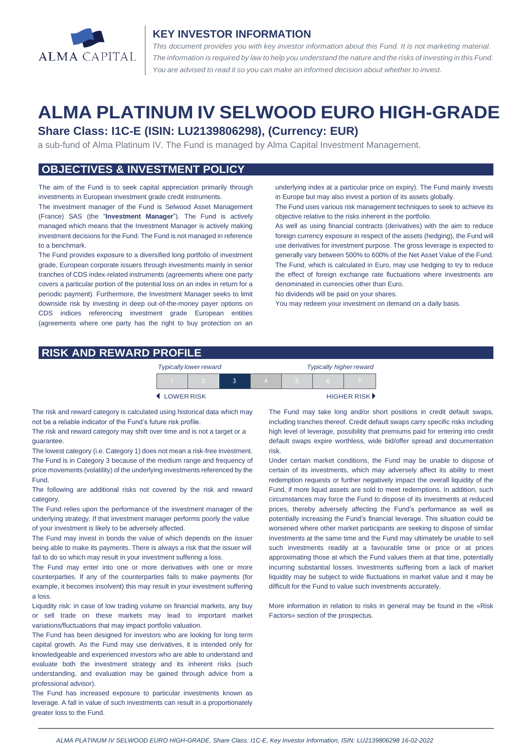

#### **KEY INVESTOR INFORMATION**

*This document provides you with key investor information about this Fund. It is not marketing material.*  The information is required by law to help you understand the nature and the risks of investing in this Fund. *You are advised to read it so you can make an informed decision about whether to invest.*

# **ALMA PLATINUM IV SELWOOD EURO HIGH-GRADE**

#### **Share Class: I1C-E (ISIN: LU2139806298), (Currency: EUR)**

a sub-fund of Alma Platinum IV. The Fund is managed by Alma Capital Investment Management.

# **OBJECTIVES & INVESTMENT POLICY**

The aim of the Fund is to seek capital appreciation primarily through investments in European investment grade credit instruments.

The investment manager of the Fund is Selwood Asset Management (France) SAS (the "**Investment Manager**"). The Fund is actively managed which means that the Investment Manager is actively making investment decisions for the Fund. The Fund is not managed in reference to a benchmark.

The Fund provides exposure to a diversified long portfolio of investment grade, European corporate issuers through investments mainly in senior tranches of CDS index-related instruments (agreements where one party covers a particular portion of the potential loss on an index in return for a periodic payment). Furthermore, the Investment Manager seeks to limit downside risk by investing in deep out-of-the-money payer options on CDS indices referencing investment grade European entities (agreements where one party has the right to buy protection on an

underlying index at a particular price on expiry). The Fund mainly invests in Europe but may also invest a portion of its assets globally.

The Fund uses various risk management techniques to seek to achieve its objective relative to the risks inherent in the portfolio.

As well as using financial contracts (derivatives) with the aim to reduce foreign currency exposure in respect of the assets (hedging), the Fund will use derivatives for investment purpose. The gross leverage is expected to generally vary between 500% to 600% of the Net Asset Value of the Fund. The Fund, which is calculated in Euro, may use hedging to try to reduce the effect of foreign exchange rate fluctuations where investments are denominated in currencies other than Euro.

No dividends will be paid on your shares.

You may redeem your investment on demand on a daily basis.

#### **RISK AND REWARD PROFILE**

| <b>Typically lower reward</b> |  |  |  | <b>Typically higher reward</b> |  |             |
|-------------------------------|--|--|--|--------------------------------|--|-------------|
|                               |  |  |  |                                |  |             |
| <b>LOWERRISK</b>              |  |  |  |                                |  | HIGHER RISK |

The risk and reward category is calculated using historical data which may not be a reliable indicator of the Fund's future risk profile.

The risk and reward category may shift over time and is not a target or a guarantee.

The lowest category (i.e. Category 1) does not mean a risk-free investment. The Fund is in Category 3 because of the medium range and frequency of price movements (volatility) of the underlying investments referenced by the Fund.

The following are additional risks not covered by the risk and reward category.

The Fund relies upon the performance of the investment manager of the underlying strategy. If that investment manager performs poorly the value of your investment is likely to be adversely affected.

The Fund may invest in bonds the value of which depends on the issuer being able to make its payments. There is always a risk that the issuer will fail to do so which may result in your investment suffering a loss.

The Fund may enter into one or more derivatives with one or more counterparties. If any of the counterparties fails to make payments (for example, it becomes insolvent) this may result in your investment suffering a loss.

Liquidity risk: in case of low trading volume on financial markets, any buy or sell trade on these markets may lead to important market variations/fluctuations that may impact portfolio valuation.

The Fund has been designed for investors who are looking for long term capital growth. As the Fund may use derivatives, it is intended only for knowledgeable and experienced investors who are able to understand and evaluate both the investment strategy and its inherent risks (such understanding, and evaluation may be gained through advice from a professional advisor).

The Fund has increased exposure to particular investments known as leverage. A fall in value of such investments can result in a proportionately greater loss to the Fund.

The Fund may take long and/or short positions in credit default swaps, including tranches thereof. Credit default swaps carry specific risks including high level of leverage, possibility that premiums paid for entering into credit default swaps expire worthless, wide bid/offer spread and documentation risk.

Under certain market conditions, the Fund may be unable to dispose of certain of its investments, which may adversely affect its ability to meet redemption requests or further negatively impact the overall liquidity of the Fund, if more liquid assets are sold to meet redemptions. In addition, such circumstances may force the Fund to dispose of its investments at reduced prices, thereby adversely affecting the Fund's performance as well as potentially increasing the Fund's financial leverage. This situation could be worsened where other market participants are seeking to dispose of similar investments at the same time and the Fund may ultimately be unable to sell such investments readily at a favourable time or price or at prices approximating those at which the Fund values them at that time, potentially incurring substantial losses. Investments suffering from a lack of market liquidity may be subject to wide fluctuations in market value and it may be difficult for the Fund to value such investments accurately.

More information in relation to risks in general may be found in the «Risk Factors» section of the prospectus.